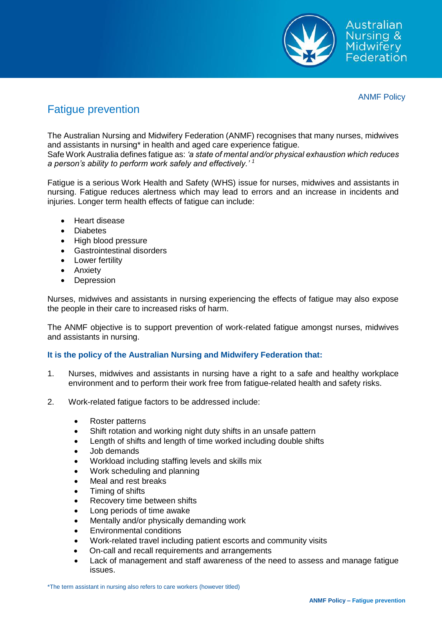

ANMF Policy

# Fatigue prevention

The Australian Nursing and Midwifery Federation (ANMF) recognises that many nurses, midwives and assistants in nursing\* in health and aged care experience fatigue.

Safe Work Australia defines fatigue as: *'a state of mental and/or physical exhaustion which reduces a person's ability to perform work safely and effectively.' <sup>1</sup>*

Fatigue is a serious Work Health and Safety (WHS) issue for nurses, midwives and assistants in nursing. Fatigue reduces alertness which may lead to errors and an increase in incidents and injuries. Longer term health effects of fatigue can include:

- Heart disease
- Diabetes
- High blood pressure
- Gastrointestinal disorders
- Lower fertility
- Anxiety
- Depression

Nurses, midwives and assistants in nursing experiencing the effects of fatigue may also expose the people in their care to increased risks of harm.

The ANMF objective is to support prevention of work-related fatigue amongst nurses, midwives and assistants in nursing.

## **It is the policy of the Australian Nursing and Midwifery Federation that:**

- 1. Nurses, midwives and assistants in nursing have a right to a safe and healthy workplace environment and to perform their work free from fatigue-related health and safety risks.
- 2. Work-related fatigue factors to be addressed include:
	- Roster patterns
	- Shift rotation and working night duty shifts in an unsafe pattern
	- Length of shifts and length of time worked including double shifts
	- Job demands
	- Workload including staffing levels and skills mix
	- Work scheduling and planning
	- Meal and rest breaks
	- Timing of shifts
	- Recovery time between shifts
	- Long periods of time awake
	- Mentally and/or physically demanding work
	- Environmental conditions
	- Work-related travel including patient escorts and community visits
	- On-call and recall requirements and arrangements
	- Lack of management and staff awareness of the need to assess and manage fatigue issues.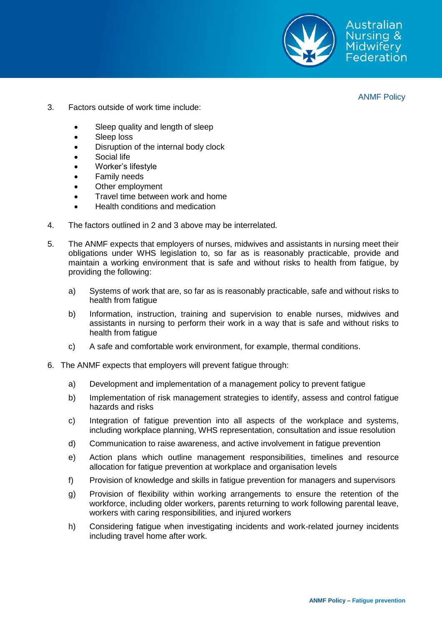

Australian Nursing & **Midwifery** Federation

ANMF Policy

- 3. Factors outside of work time include:
	- Sleep quality and length of sleep
	- Sleep loss
	- Disruption of the internal body clock
	- Social life
	- Worker's lifestyle
	- Family needs
	- Other employment
	- Travel time between work and home
	- Health conditions and medication
- 4. The factors outlined in 2 and 3 above may be interrelated.
- 5. The ANMF expects that employers of nurses, midwives and assistants in nursing meet their obligations under WHS legislation to, so far as is reasonably practicable, provide and maintain a working environment that is safe and without risks to health from fatigue, by providing the following:
	- a) Systems of work that are, so far as is reasonably practicable, safe and without risks to health from fatigue
	- b) Information, instruction, training and supervision to enable nurses, midwives and assistants in nursing to perform their work in a way that is safe and without risks to health from fatigue
	- c) A safe and comfortable work environment, for example, thermal conditions.
- 6. The ANMF expects that employers will prevent fatigue through:
	- a) Development and implementation of a management policy to prevent fatigue
	- b) Implementation of risk management strategies to identify, assess and control fatigue hazards and risks
	- c) Integration of fatigue prevention into all aspects of the workplace and systems, including workplace planning, WHS representation, consultation and issue resolution
	- d) Communication to raise awareness, and active involvement in fatigue prevention
	- e) Action plans which outline management responsibilities, timelines and resource allocation for fatigue prevention at workplace and organisation levels
	- f) Provision of knowledge and skills in fatigue prevention for managers and supervisors
	- g) Provision of flexibility within working arrangements to ensure the retention of the workforce, including older workers, parents returning to work following parental leave, workers with caring responsibilities, and injured workers
	- h) Considering fatigue when investigating incidents and work-related journey incidents including travel home after work.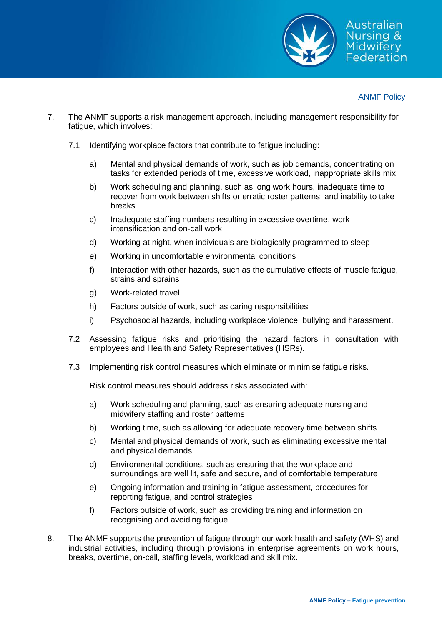

## ANMF Policy

- 7. The ANMF supports a risk management approach, including management responsibility for fatigue, which involves:
	- 7.1 Identifying workplace factors that contribute to fatigue including:
		- a) Mental and physical demands of work, such as job demands, concentrating on tasks for extended periods of time, excessive workload, inappropriate skills mix
		- b) Work scheduling and planning, such as long work hours, inadequate time to recover from work between shifts or erratic roster patterns, and inability to take breaks
		- c) Inadequate staffing numbers resulting in excessive overtime, work intensification and on-call work
		- d) Working at night, when individuals are biologically programmed to sleep
		- e) Working in uncomfortable environmental conditions
		- f) Interaction with other hazards, such as the cumulative effects of muscle fatigue, strains and sprains
		- g) Work-related travel
		- h) Factors outside of work, such as caring responsibilities
		- i) Psychosocial hazards, including workplace violence, bullying and harassment.
	- 7.2 Assessing fatigue risks and prioritising the hazard factors in consultation with employees and Health and Safety Representatives (HSRs).
	- 7.3 Implementing risk control measures which eliminate or minimise fatigue risks.

Risk control measures should address risks associated with:

- a) Work scheduling and planning, such as ensuring adequate nursing and midwifery staffing and roster patterns
- b) Working time, such as allowing for adequate recovery time between shifts
- c) Mental and physical demands of work, such as eliminating excessive mental and physical demands
- d) Environmental conditions, such as ensuring that the workplace and surroundings are well lit, safe and secure, and of comfortable temperature
- e) Ongoing information and training in fatigue assessment, procedures for reporting fatigue, and control strategies
- f) Factors outside of work, such as providing training and information on recognising and avoiding fatigue.
- 8. The ANMF supports the prevention of fatigue through our work health and safety (WHS) and industrial activities, including through provisions in enterprise agreements on work hours, breaks, overtime, on-call, staffing levels, workload and skill mix.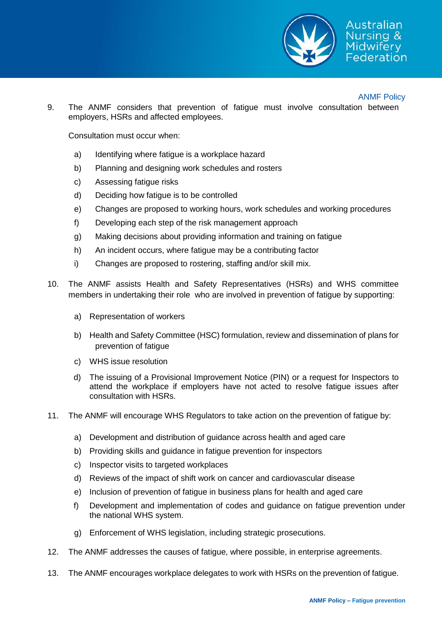

Australian ursing & Midwiferv ederation

### ANMF Policy

9. The ANMF considers that prevention of fatigue must involve consultation between employers, HSRs and affected employees.

Consultation must occur when:

- a) Identifying where fatigue is a workplace hazard
- b) Planning and designing work schedules and rosters
- c) Assessing fatigue risks
- d) Deciding how fatigue is to be controlled
- e) Changes are proposed to working hours, work schedules and working procedures
- f) Developing each step of the risk management approach
- g) Making decisions about providing information and training on fatigue
- h) An incident occurs, where fatigue may be a contributing factor
- i) Changes are proposed to rostering, staffing and/or skill mix.
- 10. The ANMF assists Health and Safety Representatives (HSRs) and WHS committee members in undertaking their role who are involved in prevention of fatigue by supporting:
	- a) Representation of workers
	- b) Health and Safety Committee (HSC) formulation, review and dissemination of plans for prevention of fatigue
	- c) WHS issue resolution
	- d) The issuing of a Provisional Improvement Notice (PIN) or a request for Inspectors to attend the workplace if employers have not acted to resolve fatigue issues after consultation with HSRs.
- 11. The ANMF will encourage WHS Regulators to take action on the prevention of fatigue by:
	- a) Development and distribution of guidance across health and aged care
	- b) Providing skills and guidance in fatigue prevention for inspectors
	- c) Inspector visits to targeted workplaces
	- d) Reviews of the impact of shift work on cancer and cardiovascular disease
	- e) Inclusion of prevention of fatigue in business plans for health and aged care
	- f) Development and implementation of codes and guidance on fatigue prevention under the national WHS system.
	- g) Enforcement of WHS legislation, including strategic prosecutions.
- 12. The ANMF addresses the causes of fatigue, where possible, in enterprise agreements.
- 13. The ANMF encourages workplace delegates to work with HSRs on the prevention of fatigue.